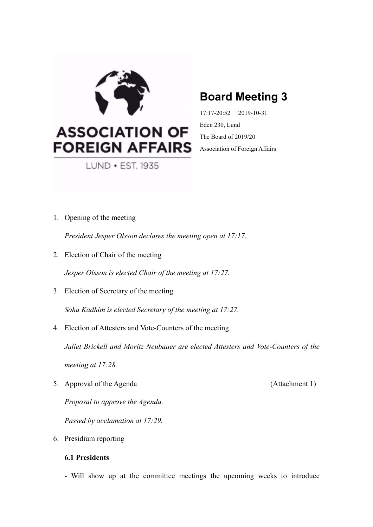

# **ASSOCIATION OF FOREIGN AFFAIRS**

LUND • EST. 1935

## **Board Meeting 3**

17:17-20:52 2019-10-31 Eden 230, Lund The Board of 2019/20 Association of Foreign Affairs

1. Opening of the meeting

*President Jesper Olsson declares the meeting open at 17:17.* 

2. Election of Chair of the meeting

*Jesper Olsson is elected Chair of the meeting at 17:27.* 

3. Election of Secretary of the meeting

*Soha Kadhim is elected Secretary of the meeting at 17:27.* 

4. Election of Attesters and Vote-Counters of the meeting

*Juliet Brickell and Moritz Neubauer are elected Attesters and Vote-Counters of the meeting at 17:28.*

5. Approval of the Agenda (Attachment 1)

*Proposal to approve the Agenda.* 

*Passed by acclamation at 17:29.* 

6. Presidium reporting

## **6.1 Presidents**

- Will show up at the committee meetings the upcoming weeks to introduce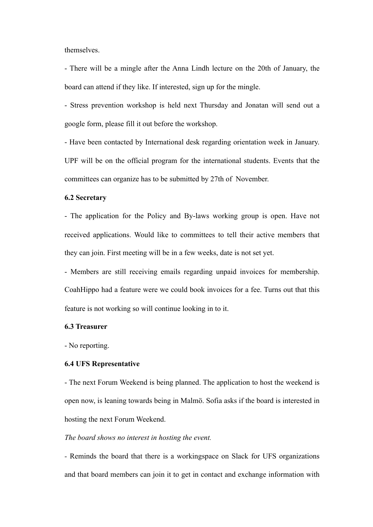themselves.

- There will be a mingle after the Anna Lindh lecture on the 20th of January, the board can attend if they like. If interested, sign up for the mingle.

- Stress prevention workshop is held next Thursday and Jonatan will send out a google form, please fill it out before the workshop.

- Have been contacted by International desk regarding orientation week in January. UPF will be on the official program for the international students. Events that the committees can organize has to be submitted by 27th of November.

## **6.2 Secretary**

- The application for the Policy and By-laws working group is open. Have not received applications. Would like to committees to tell their active members that they can join. First meeting will be in a few weeks, date is not set yet.

- Members are still receiving emails regarding unpaid invoices for membership. CoahHippo had a feature were we could book invoices for a fee. Turns out that this feature is not working so will continue looking in to it.

### **6.3 Treasurer**

- No reporting.

## **6.4 UFS Representative**

- The next Forum Weekend is being planned. The application to host the weekend is open now, is leaning towards being in Malmö. Sofia asks if the board is interested in hosting the next Forum Weekend.

## *The board shows no interest in hosting the event.*

*-* Reminds the board that there is a workingspace on Slack for UFS organizations and that board members can join it to get in contact and exchange information with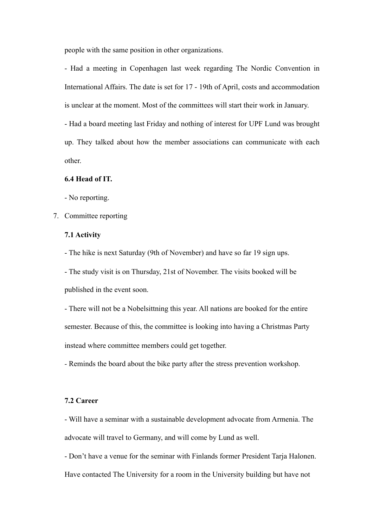people with the same position in other organizations.

- Had a meeting in Copenhagen last week regarding The Nordic Convention in International Affairs. The date is set for 17 - 19th of April, costs and accommodation is unclear at the moment. Most of the committees will start their work in January.

- Had a board meeting last Friday and nothing of interest for UPF Lund was brought up. They talked about how the member associations can communicate with each other.

### **6.4 Head of IT.**

- No reporting.

7. Committee reporting

## **7.1 Activity**

- The hike is next Saturday (9th of November) and have so far 19 sign ups.

- The study visit is on Thursday, 21st of November. The visits booked will be published in the event soon.

- There will not be a Nobelsittning this year. All nations are booked for the entire semester. Because of this, the committee is looking into having a Christmas Party instead where committee members could get together.

*-* Reminds the board about the bike party after the stress prevention workshop.

## **7.2 Career**

- Will have a seminar with a sustainable development advocate from Armenia. The advocate will travel to Germany, and will come by Lund as well.

- Don't have a venue for the seminar with Finlands former President Tarja Halonen. Have contacted The University for a room in the University building but have not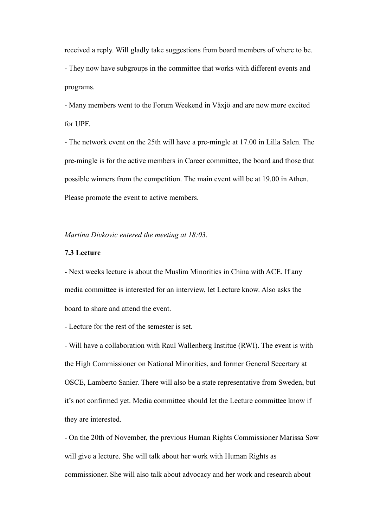received a reply. Will gladly take suggestions from board members of where to be. - They now have subgroups in the committee that works with different events and programs.

- Many members went to the Forum Weekend in Växjö and are now more excited for UPF.

- The network event on the 25th will have a pre-mingle at 17.00 in Lilla Salen. The pre-mingle is for the active members in Career committee, the board and those that possible winners from the competition. The main event will be at 19.00 in Athen. Please promote the event to active members.

*Martina Divkovic entered the meeting at 18:03.* 

#### **7.3 Lecture**

- Next weeks lecture is about the Muslim Minorities in China with ACE. If any media committee is interested for an interview, let Lecture know. Also asks the board to share and attend the event.

- Lecture for the rest of the semester is set.

- Will have a collaboration with Raul Wallenberg Institue (RWI). The event is with the High Commissioner on National Minorities, and former General Secertary at OSCE, Lamberto Sanier. There will also be a state representative from Sweden, but it's not confirmed yet. Media committee should let the Lecture committee know if they are interested.

- On the 20th of November, the previous Human Rights Commissioner Marissa Sow will give a lecture. She will talk about her work with Human Rights as commissioner. She will also talk about advocacy and her work and research about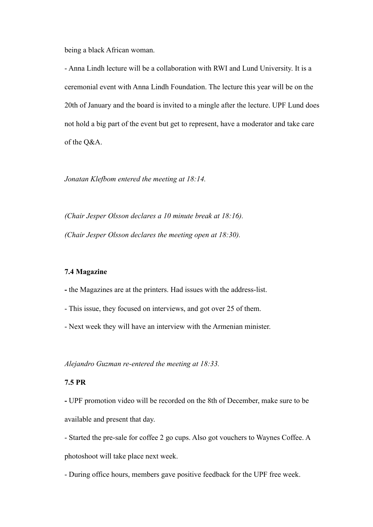being a black African woman.

- Anna Lindh lecture will be a collaboration with RWI and Lund University. It is a ceremonial event with Anna Lindh Foundation. The lecture this year will be on the 20th of January and the board is invited to a mingle after the lecture. UPF Lund does not hold a big part of the event but get to represent, have a moderator and take care of the Q&A.

*Jonatan Klefbom entered the meeting at 18:14.* 

*(Chair Jesper Olsson declares a 10 minute break at 18:16). (Chair Jesper Olsson declares the meeting open at 18:30).* 

## **7.4 Magazine**

**-** the Magazines are at the printers. Had issues with the address-list.

- This issue, they focused on interviews, and got over 25 of them.
- Next week they will have an interview with the Armenian minister.

*Alejandro Guzman re-entered the meeting at 18:33.* 

## **7.5 PR**

**-** UPF promotion video will be recorded on the 8th of December, make sure to be available and present that day.

- Started the pre-sale for coffee 2 go cups. Also got vouchers to Waynes Coffee. A photoshoot will take place next week.

- During office hours, members gave positive feedback for the UPF free week.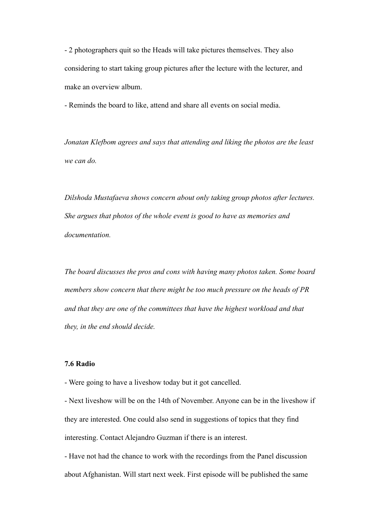- 2 photographers quit so the Heads will take pictures themselves. They also considering to start taking group pictures after the lecture with the lecturer, and make an overview album.

- Reminds the board to like, attend and share all events on social media.

*Jonatan Klefbom agrees and says that attending and liking the photos are the least we can do.* 

*Dilshoda Mustafaeva shows concern about only taking group photos after lectures. She argues that photos of the whole event is good to have as memories and documentation.* 

*The board discusses the pros and cons with having many photos taken. Some board members show concern that there might be too much pressure on the heads of PR and that they are one of the committees that have the highest workload and that they, in the end should decide.* 

## **7.6 Radio**

- Were going to have a liveshow today but it got cancelled.

- Next liveshow will be on the 14th of November. Anyone can be in the liveshow if they are interested. One could also send in suggestions of topics that they find interesting. Contact Alejandro Guzman if there is an interest.

- Have not had the chance to work with the recordings from the Panel discussion about Afghanistan. Will start next week. First episode will be published the same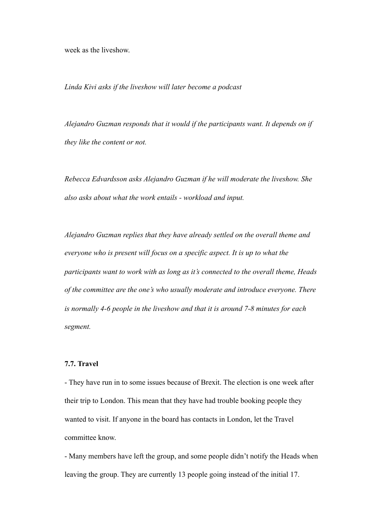week as the liveshow.

*Linda Kivi asks if the liveshow will later become a podcast* 

*Alejandro Guzman responds that it would if the participants want. It depends on if they like the content or not.* 

*Rebecca Edvardsson asks Alejandro Guzman if he will moderate the liveshow. She also asks about what the work entails - workload and input.* 

*Alejandro Guzman replies that they have already settled on the overall theme and everyone who is present will focus on a specific aspect. It is up to what the participants want to work with as long as it's connected to the overall theme, Heads of the committee are the one's who usually moderate and introduce everyone. There is normally 4-6 people in the liveshow and that it is around 7-8 minutes for each segment.* 

## **7.7. Travel**

- They have run in to some issues because of Brexit. The election is one week after their trip to London. This mean that they have had trouble booking people they wanted to visit. If anyone in the board has contacts in London, let the Travel committee know.

- Many members have left the group, and some people didn't notify the Heads when leaving the group. They are currently 13 people going instead of the initial 17.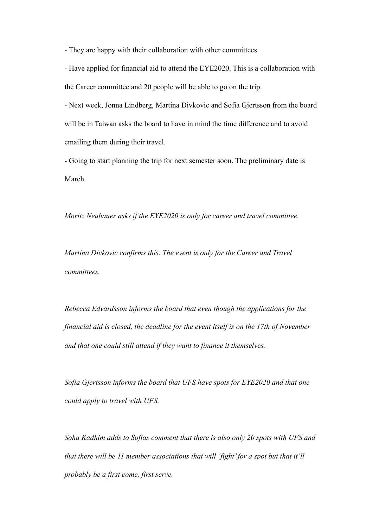- They are happy with their collaboration with other committees.

- Have applied for financial aid to attend the EYE2020. This is a collaboration with the Career committee and 20 people will be able to go on the trip.

- Next week, Jonna Lindberg, Martina Divkovic and Sofia Gjertsson from the board will be in Taiwan asks the board to have in mind the time difference and to avoid emailing them during their travel.

- Going to start planning the trip for next semester soon. The preliminary date is March.

*Moritz Neubauer asks if the EYE2020 is only for career and travel committee.* 

*Martina Divkovic confirms this. The event is only for the Career and Travel committees.* 

*Rebecca Edvardsson informs the board that even though the applications for the financial aid is closed, the deadline for the event itself is on the 17th of November and that one could still attend if they want to finance it themselves.* 

*Sofia Gjertsson informs the board that UFS have spots for EYE2020 and that one could apply to travel with UFS.* 

*Soha Kadhim adds to Sofias comment that there is also only 20 spots with UFS and that there will be 11 member associations that will 'fight' for a spot but that it'll probably be a first come, first serve.*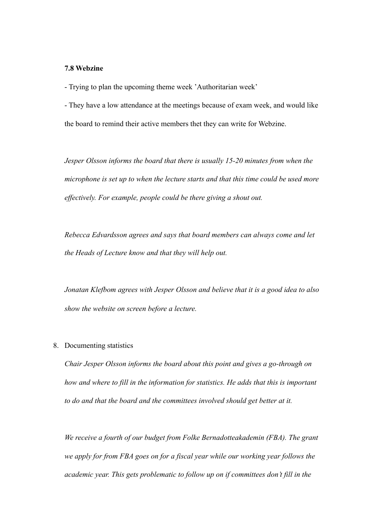#### **7.8 Webzine**

- Trying to plan the upcoming theme week 'Authoritarian week'

- They have a low attendance at the meetings because of exam week, and would like the board to remind their active members thet they can write for Webzine.

*Jesper Olsson informs the board that there is usually 15-20 minutes from when the microphone is set up to when the lecture starts and that this time could be used more effectively. For example, people could be there giving a shout out.* 

*Rebecca Edvardsson agrees and says that board members can always come and let the Heads of Lecture know and that they will help out.* 

*Jonatan Klefbom agrees with Jesper Olsson and believe that it is a good idea to also show the website on screen before a lecture.* 

## 8. Documenting statistics

*Chair Jesper Olsson informs the board about this point and gives a go-through on how and where to fill in the information for statistics. He adds that this is important to do and that the board and the committees involved should get better at it.* 

*We receive a fourth of our budget from Folke Bernadotteakademin (FBA). The grant we apply for from FBA goes on for a fiscal year while our working year follows the academic year. This gets problematic to follow up on if committees don't fill in the*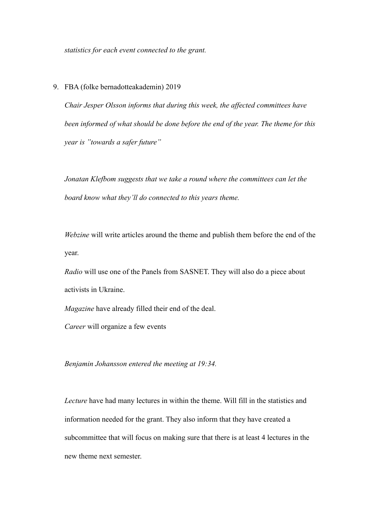*statistics for each event connected to the grant.* 

## 9. FBA (folke bernadotteakademin) 2019

*Chair Jesper Olsson informs that during this week, the affected committees have been informed of what should be done before the end of the year. The theme for this year is "towards a safer future"*

*Jonatan Klefbom suggests that we take a round where the committees can let the board know what they'll do connected to this years theme.* 

*Webzine* will write articles around the theme and publish them before the end of the year.

*Radio* will use one of the Panels from SASNET. They will also do a piece about activists in Ukraine.

*Magazine* have already filled their end of the deal.

*Career* will organize a few events

*Benjamin Johansson entered the meeting at 19:34.* 

*Lecture* have had many lectures in within the theme. Will fill in the statistics and information needed for the grant. They also inform that they have created a subcommittee that will focus on making sure that there is at least 4 lectures in the new theme next semester.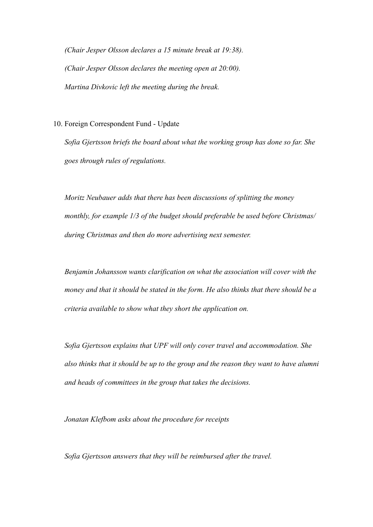*(Chair Jesper Olsson declares a 15 minute break at 19:38). (Chair Jesper Olsson declares the meeting open at 20:00). Martina Divkovic left the meeting during the break.* 

10. Foreign Correspondent Fund - Update

*Sofia Gjertsson briefs the board about what the working group has done so far. She goes through rules of regulations.* 

*Moritz Neubauer adds that there has been discussions of splitting the money monthly, for example 1/3 of the budget should preferable be used before Christmas/ during Christmas and then do more advertising next semester.* 

*Benjamin Johansson wants clarification on what the association will cover with the money and that it should be stated in the form. He also thinks that there should be a criteria available to show what they short the application on.* 

*Sofia Gjertsson explains that UPF will only cover travel and accommodation. She also thinks that it should be up to the group and the reason they want to have alumni and heads of committees in the group that takes the decisions.* 

*Jonatan Klefbom asks about the procedure for receipts* 

*Sofia Gjertsson answers that they will be reimbursed after the travel.*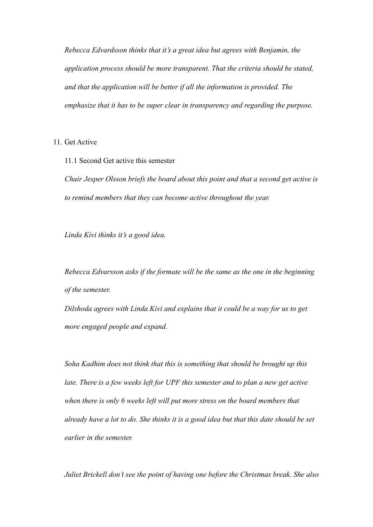*Rebecca Edvardsson thinks that it's a great idea but agrees with Benjamin, the application process should be more transparent. That the criteria should be stated, and that the application will be better if all the information is provided. The emphasize that it has to be super clear in transparency and regarding the purpose.* 

11. Get Active

11.1 Second Get active this semester *Chair Jesper Olsson briefs the board about this point and that a second get active is to remind members that they can become active throughout the year.* 

*Linda Kivi thinks it's a good idea.* 

*Rebecca Edvarsson asks if the formate will be the same as the one in the beginning of the semester.* 

*Dilshoda agrees with Linda Kivi and explains that it could be a way for us to get more engaged people and expand.* 

*Soha Kadhim does not think that this is something that should be brought up this late. There is a few weeks left for UPF this semester and to plan a new get active when there is only 6 weeks left will put more stress on the board members that already have a lot to do. She thinks it is a good idea but that this date should be set earlier in the semester.* 

*Juliet Brickell don't see the point of having one before the Christmas break. She also*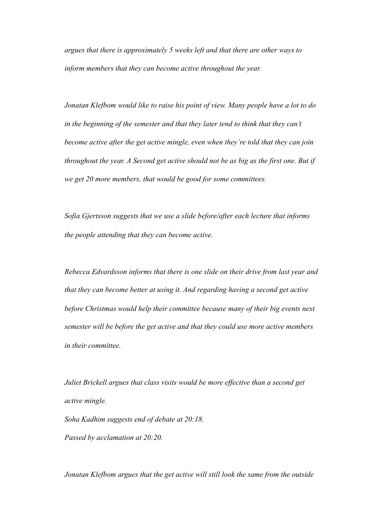*argues that there is approximately 5 weeks left and that there are other ways to inform members that they can become active throughout the year.* 

*Jonatan Klefbom would like to raise his point of view. Many people have a lot to do in the beginning of the semester and that they later tend to think that they can't become active after the get active mingle, even when they're told that they can join throughout the year. A Second get active should not be as big as the first one. But if we get 20 more members, that would be good for some committees.* 

*Sofia Gjertsson suggests that we use a slide before/after each lecture that informs the people attending that they can become active.* 

*Rebecca Edvardsson informs that there is one slide on their drive from last year and that they can become better at using it. And regarding having a second get active before Christmas would help their committee because many of their big events next semester will be before the get active and that they could use more active members in their committee.* 

*Juliet Brickell argues that class visits would be more effective than a second get active mingle.* 

*Soha Kadhim suggests end of debate at 20:18. Passed by acclamation at 20:20.* 

*Jonatan Klefbom argues that the get active will still look the same from the outside*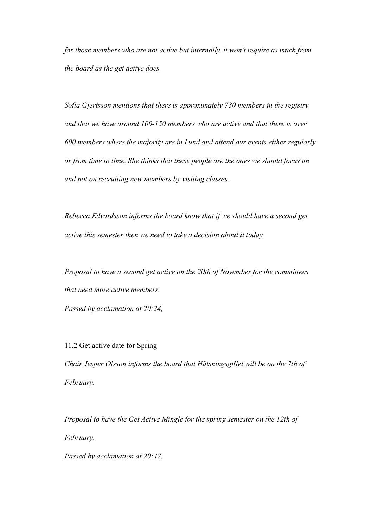*for those members who are not active but internally, it won't require as much from the board as the get active does.* 

*Sofia Gjertsson mentions that there is approximately 730 members in the registry and that we have around 100-150 members who are active and that there is over 600 members where the majority are in Lund and attend our events either regularly or from time to time. She thinks that these people are the ones we should focus on and not on recruiting new members by visiting classes.* 

*Rebecca Edvardsson informs the board know that if we should have a second get active this semester then we need to take a decision about it today.* 

*Proposal to have a second get active on the 20th of November for the committees that need more active members.* 

*Passed by acclamation at 20:24,* 

11.2 Get active date for Spring *Chair Jesper Olsson informs the board that Hälsningsgillet will be on the 7th of February.* 

*Proposal to have the Get Active Mingle for the spring semester on the 12th of February.* 

*Passed by acclamation at 20:47.*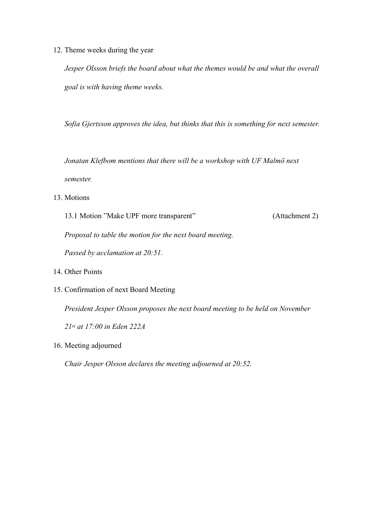12. Theme weeks during the year

*Jesper Olsson briefs the board about what the themes would be and what the overall goal is with having theme weeks.* 

*Sofia Gjertsson approves the idea, but thinks that this is something for next semester.* 

*Jonatan Klefbom mentions that there will be a workshop with UF Malmö next semester.* 

13. Motions

13.1 Motion "Make UPF more transparent" (Attachment 2)

*Proposal to table the motion for the next board meeting.* 

*Passed by acclamation at 20:51.* 

- 14. Other Points
- 15. Confirmation of next Board Meeting

*President Jesper Olsson proposes the next board meeting to be held on November 21st at 17:00 in Eden 222A*

16. Meeting adjourned

*Chair Jesper Olsson declares the meeting adjourned at 20:52.*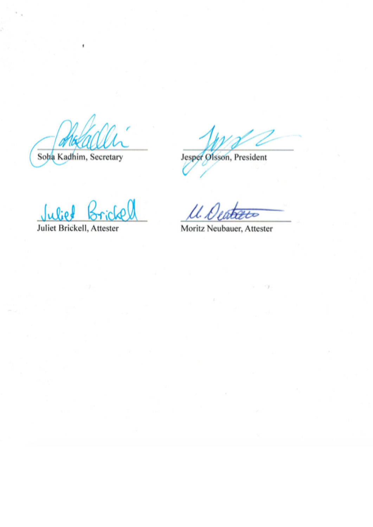Soha Kadhim, Secretary

Jesper Olsson, President

Juliet Br

Juliet Brickell, Attester

U. Dea ん

Moritz Neubauer, Attester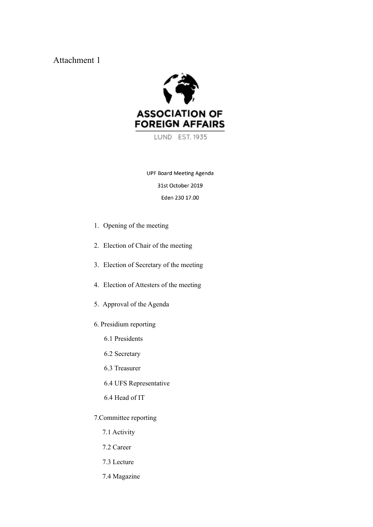Attachment 1



LUND EST. 1935

**UPF Board Meeting Agenda** 31st October 2019 Eden 230 17.00

- 1. Opening of the meeting
- 2. Election of Chair of the meeting
- 3. Election of Secretary of the meeting
- 4. Election of Attesters of the meeting
- 5. Approval of the Agenda
- 6. Presidium reporting
	- 6.1 Presidents
	- 6.2 Secretary
	- 6.3 Treasurer
	- 6.4 UFS Representative
	- 6.4 Head of IT
- 7.Committee reporting
	- 7.1 Activity
	- 7.2 Career
	- 7.3 Lecture
	- 7.4 Magazine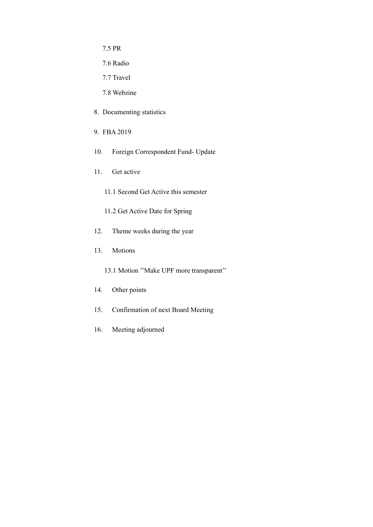7.5 PR

- 7.6 Radio
- 7.7 Travel

7.8 Webzine

- 8. Documenting statistics
- 9. FBA 2019
- 10. Foreign Correspondent Fund- Update
- 11. Get active
	- 11.1 Second Get Active this semester
	- 11.2 Get Active Date for Spring
- 12. Theme weeks during the year
- 13. Motions
	- 13.1 Motion ''Make UPF more transparent''
- 14. Other points
- 15. Confirmation of next Board Meeting
- 16. Meeting adjourned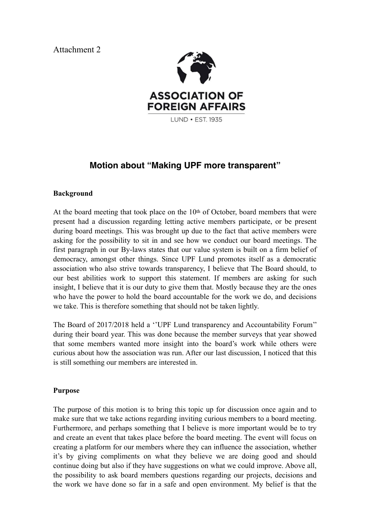Attachment 2



## **Motion about "Making UPF more transparent"**

## **Background**

At the board meeting that took place on the  $10<sup>th</sup>$  of October, board members that were present had a discussion regarding letting active members participate, or be present during board meetings. This was brought up due to the fact that active members were asking for the possibility to sit in and see how we conduct our board meetings. The first paragraph in our By-laws states that our value system is built on a firm belief of democracy, amongst other things. Since UPF Lund promotes itself as a democratic association who also strive towards transparency, I believe that The Board should, to our best abilities work to support this statement. If members are asking for such insight, I believe that it is our duty to give them that. Mostly because they are the ones who have the power to hold the board accountable for the work we do, and decisions we take. This is therefore something that should not be taken lightly.

The Board of 2017/2018 held a ''UPF Lund transparency and Accountability Forum'' during their board year. This was done because the member surveys that year showed that some members wanted more insight into the board's work while others were curious about how the association was run. After our last discussion, I noticed that this is still something our members are interested in.

## **Purpose**

The purpose of this motion is to bring this topic up for discussion once again and to make sure that we take actions regarding inviting curious members to a board meeting. Furthermore, and perhaps something that I believe is more important would be to try and create an event that takes place before the board meeting. The event will focus on creating a platform for our members where they can influence the association, whether it's by giving compliments on what they believe we are doing good and should continue doing but also if they have suggestions on what we could improve. Above all, the possibility to ask board members questions regarding our projects, decisions and the work we have done so far in a safe and open environment. My belief is that the